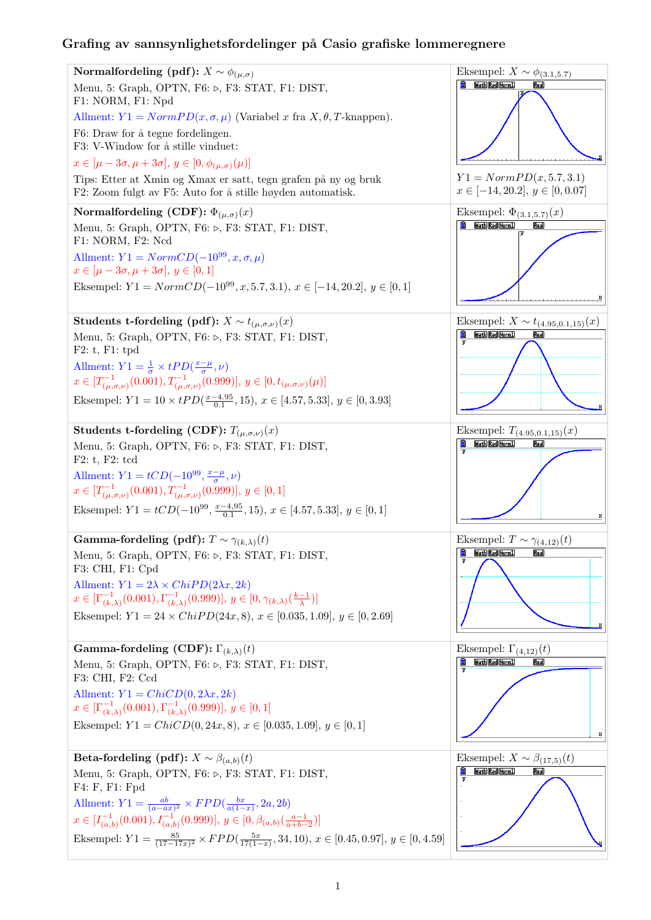## Grafing av sannsynlighetsfordelinger på Casio grafiske lommeregnere